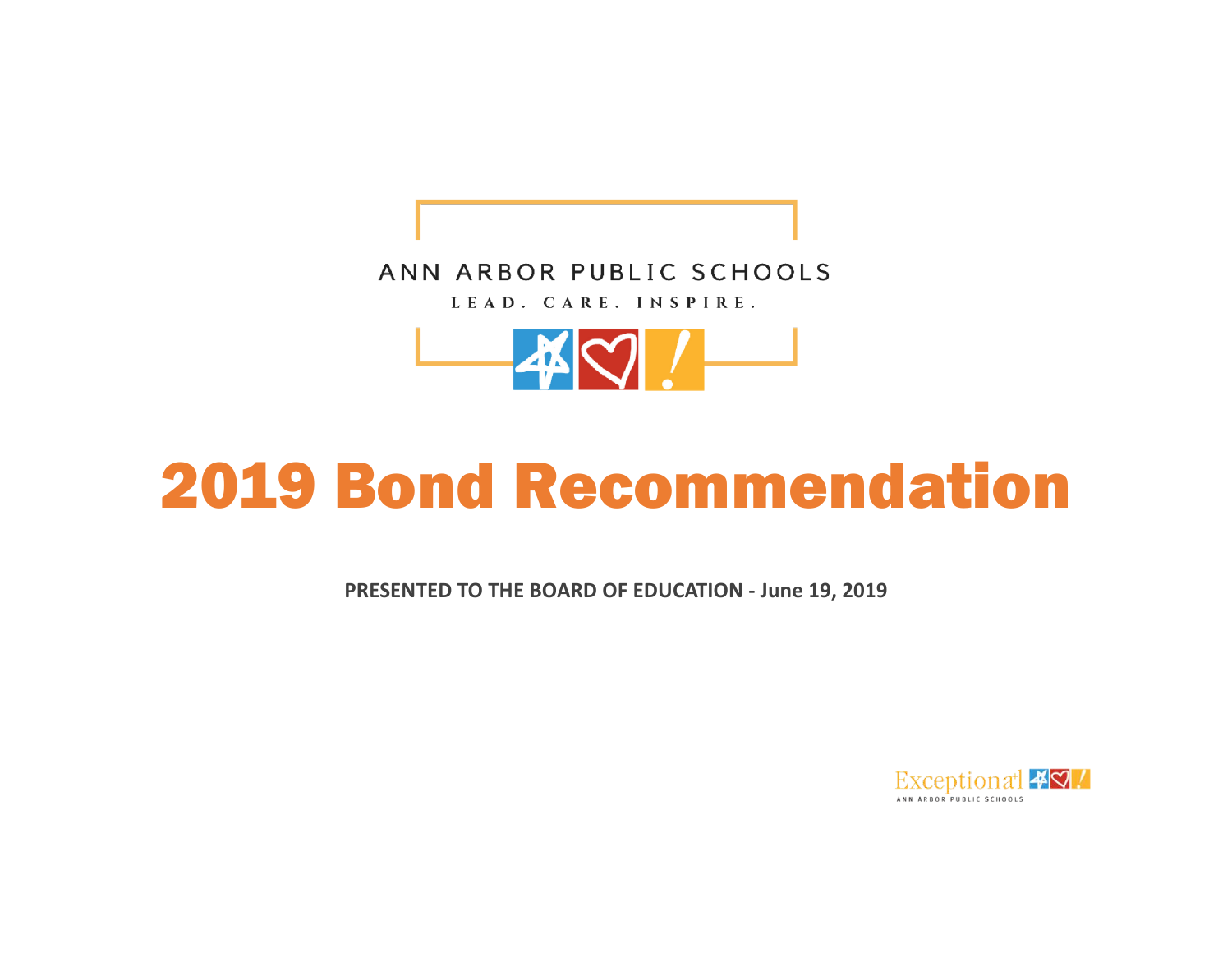



# 2019 Bond Recommendation

**PRESENTED TO THE BOARD OF EDUCATION - June 19, 2019**

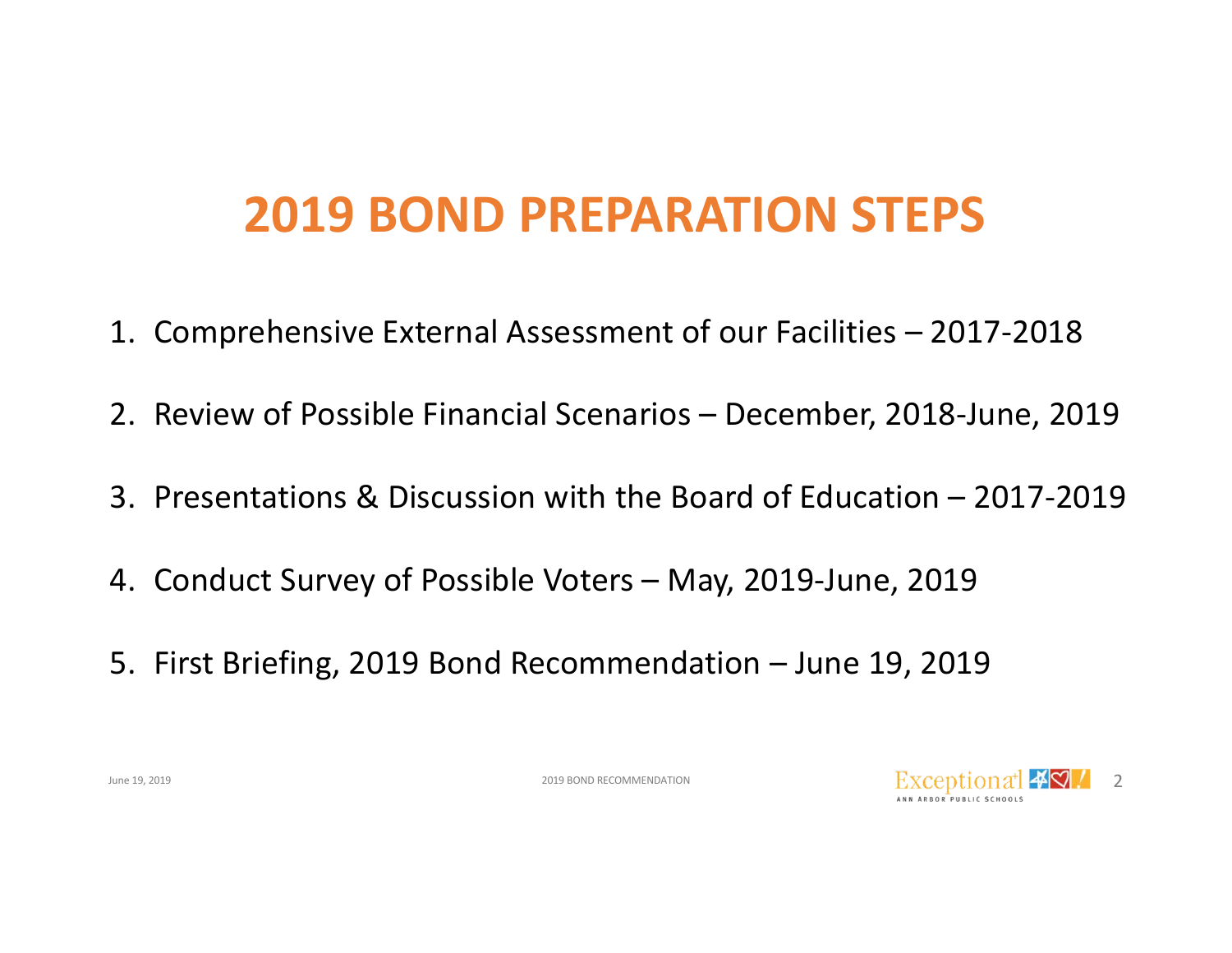## **2019 BOND PREPARATION STEPS**

- 1. Comprehensive External Assessment of our Facilities 2017-2018
- 2. Review of Possible Financial Scenarios December, 2018-June, 2019
- 3. Presentations & Discussion with the Board of Education 2017-2019
- 4. Conduct Survey of Possible Voters May, 2019-June, 2019
- 5. First Briefing, 2019 Bond Recommendation June 19, 2019

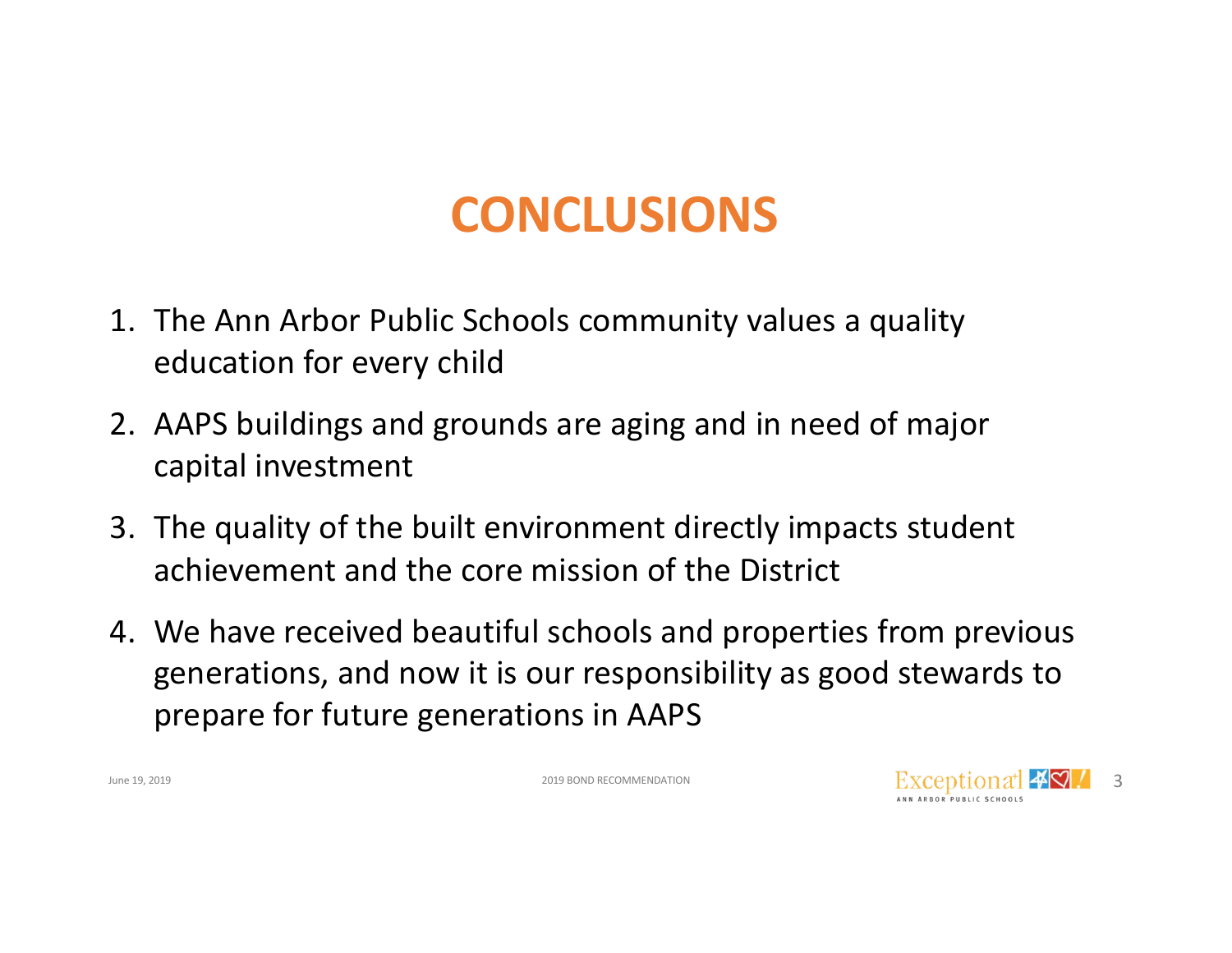## **CONCLUSIONS**

- 1. The Ann Arbor Public Schools community values a quality education for every child
- 2. AAPS buildings and grounds are aging and in need of major capital investment
- 3. The quality of the built environment directly impacts student achievement and the core mission of the District
- 4. We have received beautiful schools and properties from previous generations, and now it is our responsibility as good stewards to prepare for future generations in AAPS

2019 BOND RECOMMENDATION

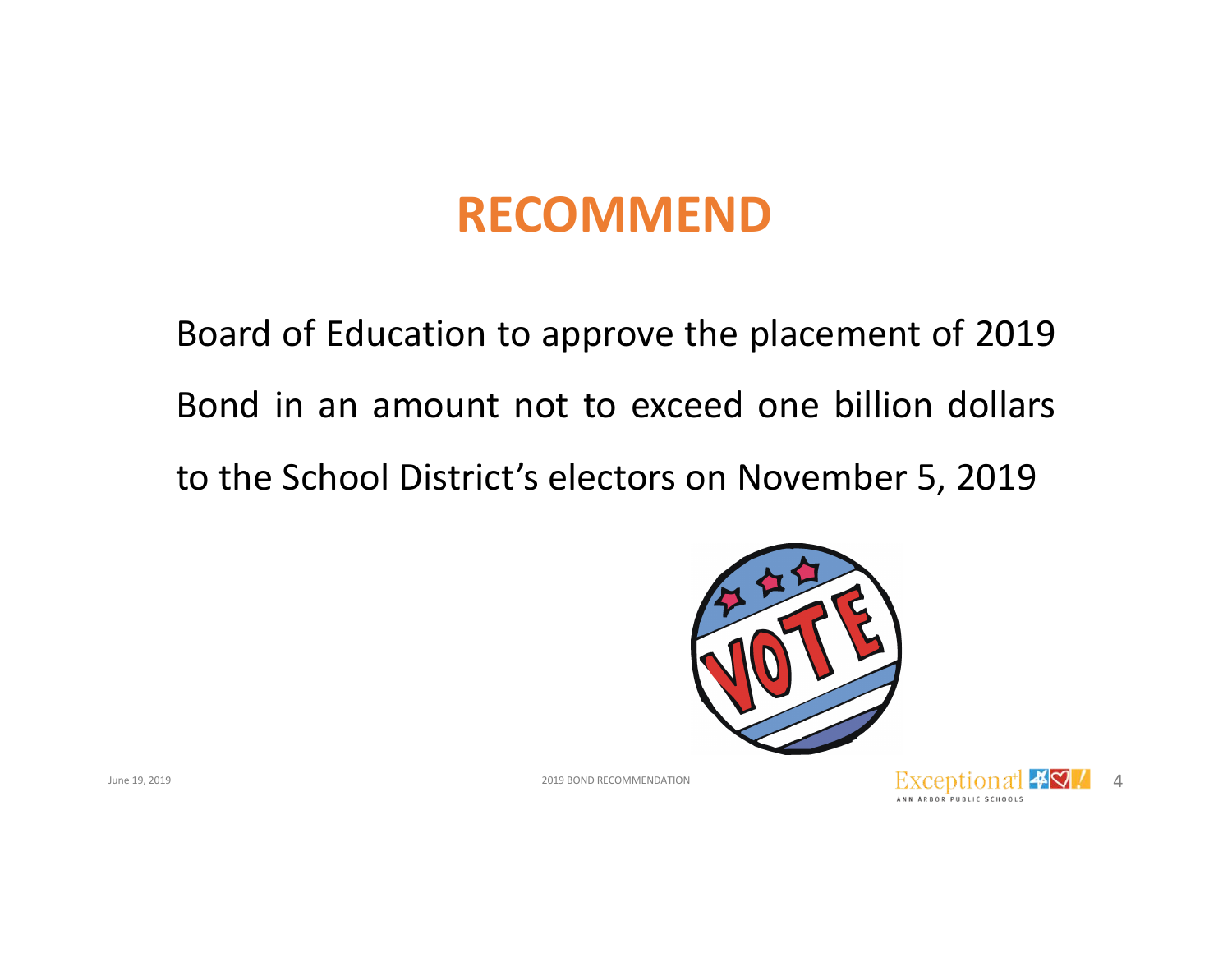#### **RECOMMEND**

Board of Education to approve the placement of 2019 Bond in an amount not to exceed one billion dollars to the School District's electors on November 5, 2019





2019 BOND RECOMMENDATION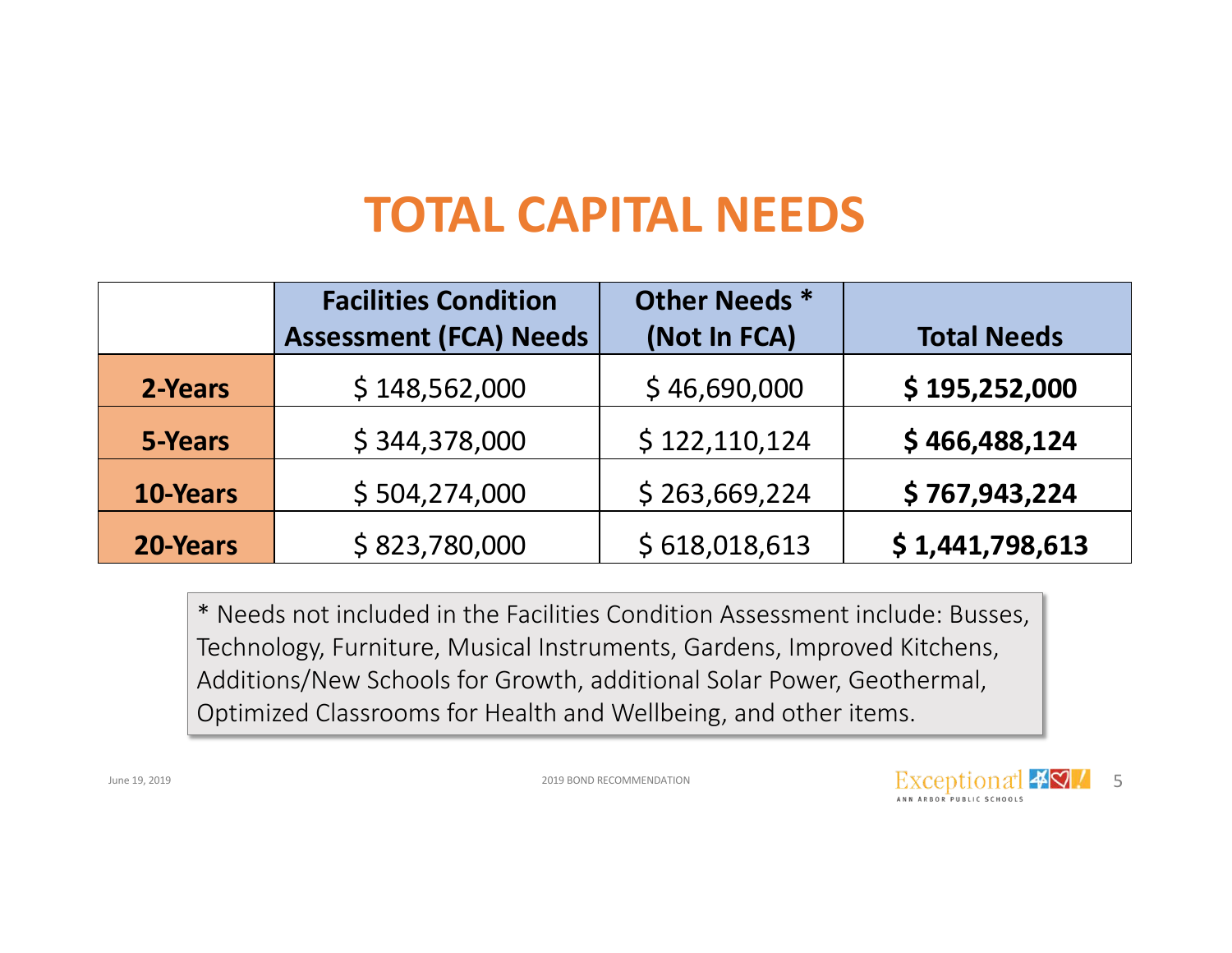### **TOTAL CAPITAL NEEDS**

|          | <b>Facilities Condition</b><br><b>Assessment (FCA) Needs</b> | Other Needs *<br>(Not In FCA) | <b>Total Needs</b> |
|----------|--------------------------------------------------------------|-------------------------------|--------------------|
| 2-Years  | \$148,562,000                                                | \$46,690,000                  | \$195,252,000      |
| 5-Years  | \$344,378,000                                                | \$122,110,124                 | \$466,488,124      |
| 10-Years | \$504,274,000                                                | \$263,669,224                 | \$767,943,224      |
| 20-Years | \$823,780,000                                                | \$618,018,613                 | \$1,441,798,613    |

\* Needs not included in the Facilities Condition Assessment include: Busses, Technology, Furniture, Musical Instruments, Gardens, Improved Kitchens, Additions/New Schools for Growth, additional Solar Power, Geothermal, Optimized Classrooms for Health and Wellbeing, and other items.

2019 BOND RECOMMENDATION

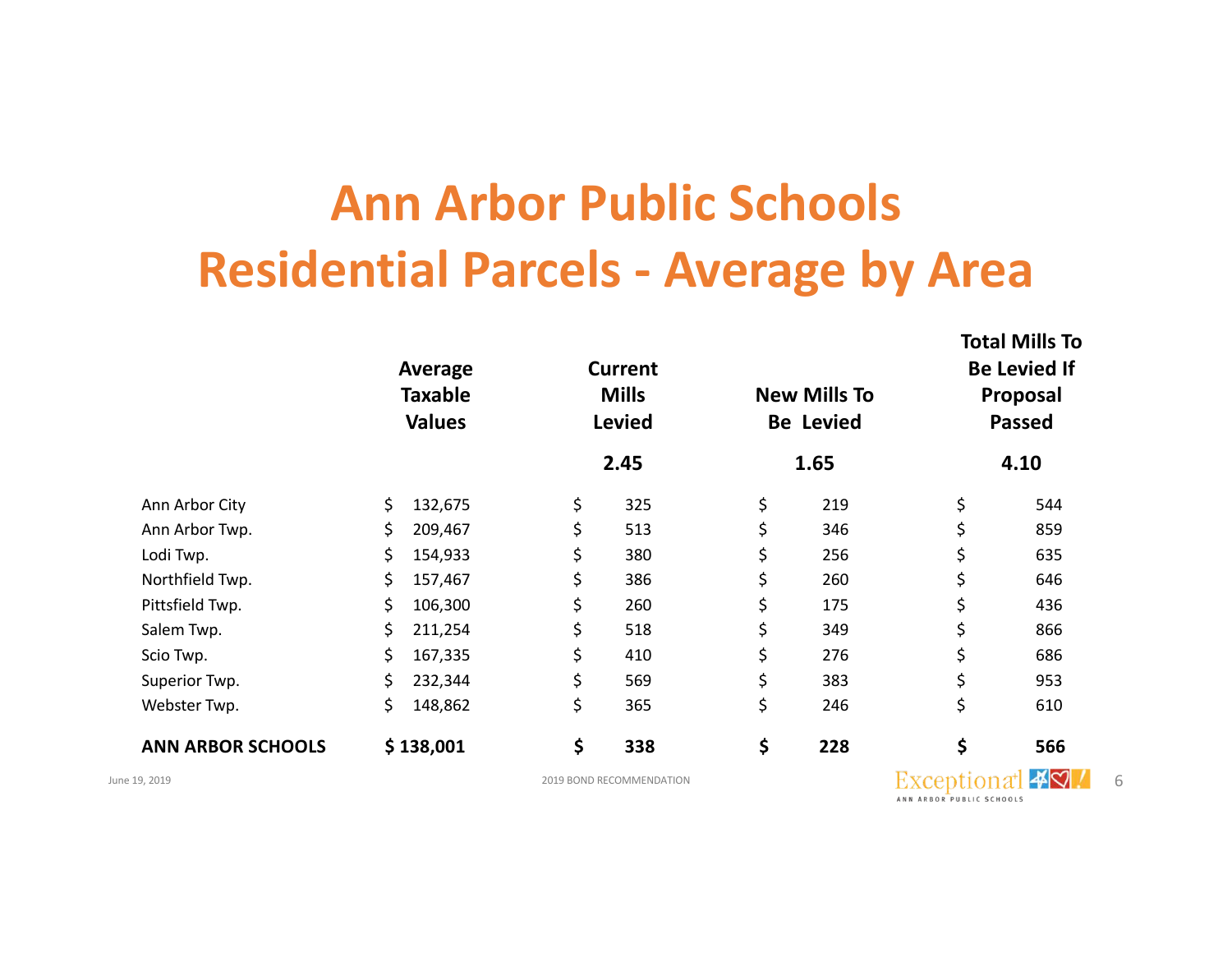## **Ann Arbor Public Schools Residential Parcels - Average by Area**

|                          | Average<br><b>Taxable</b><br><b>Values</b> |           | <b>Current</b><br><b>Mills</b><br><b>Levied</b> |    | <b>New Mills To</b><br><b>Be Levied</b> |    | TULAI IVIIII JU<br><b>Be Levied If</b><br><b>Proposal</b><br><b>Passed</b> |  |
|--------------------------|--------------------------------------------|-----------|-------------------------------------------------|----|-----------------------------------------|----|----------------------------------------------------------------------------|--|
|                          |                                            |           | 2.45                                            |    | 1.65                                    |    | 4.10                                                                       |  |
| Ann Arbor City           | \$                                         | 132,675   | \$<br>325                                       | \$ | 219                                     | \$ | 544                                                                        |  |
| Ann Arbor Twp.           | \$                                         | 209,467   | \$<br>513                                       | \$ | 346                                     | \$ | 859                                                                        |  |
| Lodi Twp.                | \$                                         | 154,933   | \$<br>380                                       | \$ | 256                                     |    | 635                                                                        |  |
| Northfield Twp.          | \$                                         | 157,467   | \$<br>386                                       | \$ | 260                                     |    | 646                                                                        |  |
| Pittsfield Twp.          | \$                                         | 106,300   | \$<br>260                                       | \$ | 175                                     |    | 436                                                                        |  |
| Salem Twp.               | \$                                         | 211,254   | \$<br>518                                       | \$ | 349                                     |    | 866                                                                        |  |
| Scio Twp.                | \$                                         | 167,335   | \$<br>410                                       | \$ | 276                                     | \$ | 686                                                                        |  |
| Superior Twp.            | \$                                         | 232,344   | \$<br>569                                       | \$ | 383                                     | \$ | 953                                                                        |  |
| Webster Twp.             | \$                                         | 148,862   | \$<br>365                                       | \$ | 246                                     | \$ | 610                                                                        |  |
| <b>ANN ARBOR SCHOOLS</b> |                                            | \$138,001 | \$<br>338                                       | \$ | 228                                     | \$ | 566                                                                        |  |

June 19, 2019 2019 BOND RECOMMENDATION 6ANN ARBOR PUBLIC SCHOOLS

**Total Mills To**